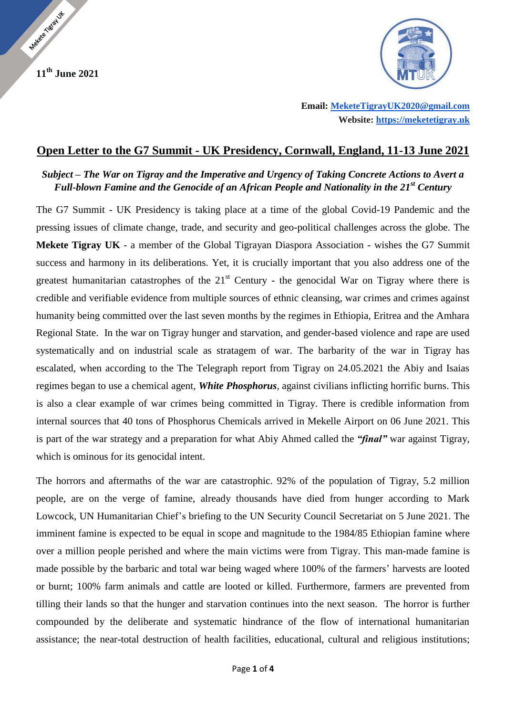**11th June 2021**

Madeire Siegel UX



 **Email: [MeketeTigrayUK2020@gmail.com](mailto:MeketeTigrayUK2020@gmail.com) Website: [https://meketetigray.uk](https://meketetigray.uk/)**

## **Open Letter to the G7 Summit - UK Presidency, Cornwall, England, 11-13 June 2021**

## *Subject – The War on Tigray and the Imperative and Urgency of Taking Concrete Actions to Avert a Full-blown Famine and the Genocide of an African People and Nationality in the 21st Century*

The G7 Summit - UK Presidency is taking place at a time of the global Covid-19 Pandemic and the pressing issues of climate change, trade, and security and geo-political challenges across the globe. The **Mekete Tigray UK** - a member of the Global Tigrayan Diaspora Association - wishes the G7 Summit success and harmony in its deliberations. Yet, it is crucially important that you also address one of the greatest humanitarian catastrophes of the  $21<sup>st</sup>$  Century - the genocidal War on Tigray where there is credible and verifiable evidence from multiple sources of ethnic cleansing, war crimes and crimes against humanity being committed over the last seven months by the regimes in Ethiopia, Eritrea and the Amhara Regional State. In the war on Tigray hunger and starvation, and gender-based violence and rape are used systematically and on industrial scale as stratagem of war. The barbarity of the war in Tigray has escalated, when according to the The Telegraph report from Tigray on 24.05.2021 the Abiy and Isaias regimes began to use a chemical agent, *White Phosphorus*, against civilians inflicting horrific burns. This is also a clear example of war crimes being committed in Tigray. There is credible information from internal sources that 40 tons of Phosphorus Chemicals arrived in Mekelle Airport on 06 June 2021. This is part of the war strategy and a preparation for what Abiy Ahmed called the *"final"* war against Tigray, which is ominous for its genocidal intent.

The horrors and aftermaths of the war are catastrophic. 92% of the population of Tigray, 5.2 million people, are on the verge of famine, already thousands have died from hunger according to Mark Lowcock, UN Humanitarian Chief's briefing to the UN Security Council Secretariat on 5 June 2021. The imminent famine is expected to be equal in scope and magnitude to the 1984/85 Ethiopian famine where over a million people perished and where the main victims were from Tigray. This man-made famine is made possible by the barbaric and total war being waged where 100% of the farmers' harvests are looted or burnt; 100% farm animals and cattle are looted or killed. Furthermore, farmers are prevented from tilling their lands so that the hunger and starvation continues into the next season. The horror is further compounded by the deliberate and systematic hindrance of the flow of international humanitarian assistance; the near-total destruction of health facilities, educational, cultural and religious institutions;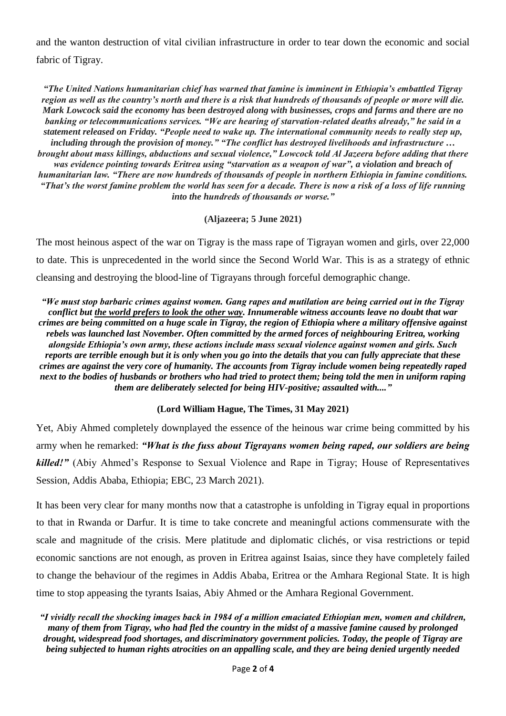and the wanton destruction of vital civilian infrastructure in order to tear down the economic and social fabric of Tigray.

*"The United Nations humanitarian chief has warned that famine is imminent in Ethiopia's embattled Tigray region as well as the country's north and there is a risk that hundreds of thousands of people or more will die. Mark Lowcock said the economy has been destroyed along with businesses, crops and farms and there are no banking or telecommunications services. "We are hearing of starvation-related deaths already," he said in a statement released on Friday. "People need to wake up. The international community needs to really step up, including through the provision of money." "The conflict has destroyed livelihoods and infrastructure … brought about mass killings, abductions and sexual violence," Lowcock told Al Jazeera before adding that there was evidence pointing towards Eritrea using "starvation as a weapon of war", a violation and breach of humanitarian law. "There are now hundreds of thousands of people in northern Ethiopia in famine conditions. "That's the worst famine problem the world has seen for a decade. There is now a risk of a loss of life running into the hundreds of thousands or worse."*

**(Aljazeera; 5 June 2021)**

The most heinous aspect of the war on Tigray is the mass rape of Tigrayan women and girls, over 22,000 to date. This is unprecedented in the world since the Second World War. This is as a strategy of ethnic cleansing and destroying the blood-line of Tigrayans through forceful demographic change.

*"We must stop barbaric crimes against women. Gang rapes and mutilation are being carried out in the Tigray conflict but the world prefers to look the other way. Innumerable witness accounts leave no doubt that war crimes are being committed on a huge scale in Tigray, the region of Ethiopia where a military offensive against rebels was launched last November. Often committed by the armed forces of neighbouring Eritrea, working alongside Ethiopia's own army, these actions include mass sexual violence against women and girls. Such reports are terrible enough but it is only when you go into the details that you can fully appreciate that these crimes are against the very core of humanity. The accounts from Tigray include women being repeatedly raped next to the bodies of husbands or brothers who had tried to protect them; being told the men in uniform raping them are deliberately selected for being HIV-positive; assaulted with...."*

## **(Lord William Hague, The Times, 31 May 2021)**

Yet, Abiy Ahmed completely downplayed the essence of the heinous war crime being committed by his army when he remarked: *"What is the fuss about Tigrayans women being raped, our soldiers are being killed!"* (Abiy Ahmed's Response to Sexual Violence and Rape in Tigray; House of Representatives Session, Addis Ababa, Ethiopia; EBC, 23 March 2021).

It has been very clear for many months now that a catastrophe is unfolding in Tigray equal in proportions to that in Rwanda or Darfur. It is time to take concrete and meaningful actions commensurate with the scale and magnitude of the crisis. Mere platitude and diplomatic clichés, or visa restrictions or tepid economic sanctions are not enough, as proven in Eritrea against Isaias, since they have completely failed to change the behaviour of the regimes in Addis Ababa, Eritrea or the Amhara Regional State. It is high time to stop appeasing the tyrants Isaias, Abiy Ahmed or the Amhara Regional Government.

*"I vividly recall the shocking images back in 1984 of a million emaciated Ethiopian men, women and children, many of them from Tigray, who had fled the country in the midst of a massive famine caused by prolonged drought, widespread food shortages, and discriminatory government policies. Today, the people of Tigray are being subjected to human rights atrocities on an appalling scale, and they are being denied urgently needed*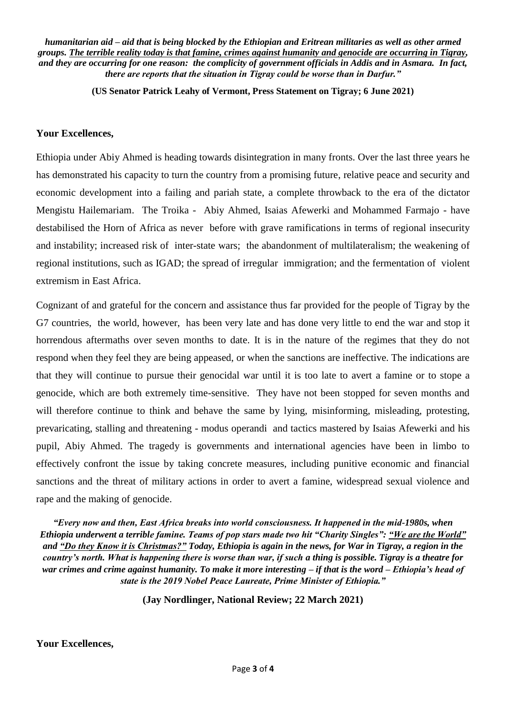*humanitarian aid – aid that is being blocked by the Ethiopian and Eritrean militaries as well as other armed groups. The terrible reality today is that famine, crimes against humanity and genocide are occurring in Tigray, and they are occurring for one reason: the complicity of government officials in Addis and in Asmara. In fact, there are reports that the situation in Tigray could be worse than in Darfur."*

**(US Senator Patrick Leahy of Vermont, Press Statement on Tigray; 6 June 2021)**

## **Your Excellences,**

Ethiopia under Abiy Ahmed is heading towards disintegration in many fronts. Over the last three years he has demonstrated his capacity to turn the country from a promising future, relative peace and security and economic development into a failing and pariah state, a complete throwback to the era of the dictator Mengistu Hailemariam. The Troika - Abiy Ahmed, Isaias Afewerki and Mohammed Farmajo - have destabilised the Horn of Africa as never before with grave ramifications in terms of regional insecurity and instability; increased risk of inter-state wars; the abandonment of multilateralism; the weakening of regional institutions, such as IGAD; the spread of irregular immigration; and the fermentation of violent extremism in East Africa.

Cognizant of and grateful for the concern and assistance thus far provided for the people of Tigray by the G7 countries, the world, however, has been very late and has done very little to end the war and stop it horrendous aftermaths over seven months to date. It is in the nature of the regimes that they do not respond when they feel they are being appeased, or when the sanctions are ineffective. The indications are that they will continue to pursue their genocidal war until it is too late to avert a famine or to stope a genocide, which are both extremely time-sensitive. They have not been stopped for seven months and will therefore continue to think and behave the same by lying, misinforming, misleading, protesting, prevaricating, stalling and threatening - modus operandi and tactics mastered by Isaias Afewerki and his pupil, Abiy Ahmed. The tragedy is governments and international agencies have been in limbo to effectively confront the issue by taking concrete measures, including punitive economic and financial sanctions and the threat of military actions in order to avert a famine, widespread sexual violence and rape and the making of genocide.

*"Every now and then, East Africa breaks into world consciousness. It happened in the mid-1980s, when Ethiopia underwent a terrible famine. Teams of pop stars made two hit "Charity Singles": "We are the World" and "Do they Know it is Christmas?" Today, Ethiopia is again in the news, for War in Tigray, a region in the country's north. What is happening there is worse than war, if such a thing is possible. Tigray is a theatre for war crimes and crime against humanity. To make it more interesting – if that is the word – Ethiopia's head of state is the 2019 Nobel Peace Laureate, Prime Minister of Ethiopia."*

**(Jay Nordlinger, National Review; 22 March 2021)**

**Your Excellences,**